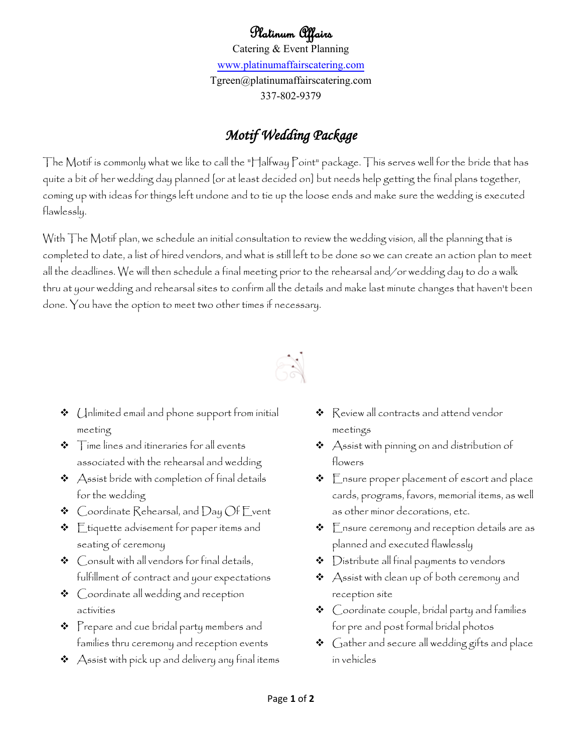## Platinum Affairs

Catering & Event Planning [www.platinumaffairscatering.com](http://www.platinumaffairscatering.com/) Tgreen@platinumaffairscatering.com 337-802-9379

## *Motif Wedding Package*

The Motif is commonly what we like to call the "Halfway Point" package. This serves well for the bride that has quite a bit of her wedding day planned [or at least decided on] but needs help getting the final plans together, coming up with ideas for things left undone and to tie up the loose ends and make sure the wedding is executed flawlessly.

With The Motif plan, we schedule an initial consultation to review the wedding vision, all the planning that is completed to date, a list of hired vendors, and what is still left to be done so we can create an action plan to meet all the deadlines. We will then schedule a final meeting prior to the rehearsal and/or wedding day to do a walk thru at your wedding and rehearsal sites to confirm all the details and make last minute changes that haven't been done. You have the option to meet two other times if necessary.



- $\triangleleft$  (Inlimited email and phone support from initial meeting
- $\triangleleft$  Time lines and itineraries for all events associated with the rehearsal and wedding
- $\triangleleft$  Assist bride with completion of final details for the wedding
- $\triangleleft$  Coordinate Rehearsal, and Day Of Event
- $\div$  Etiquette advisement for paper items and seating of ceremony
- Consult with all vendors for final details, fulfillment of contract and your expectations
- $\triangleleft$   $\triangleright$   $\triangleright$   $\triangleright$   $\triangleright$   $\triangleright$   $\triangleright$   $\preightharpoonup$   $\preightharpoonup$   $\preightharpoonup$   $\preightharpoonup$   $\preightharpoonup$   $\preightharpoonup$   $\preightharpoonup$   $\preightharpoonup$   $\preightharpoonup$   $\preightharpoonup$   $\preightharpoonup$   $\preightharpoonup$   $\preightharpoonup$   $\preightharpoonup$   $\preightharpoonup$   $\preightharpoonup$   $\preightharpoonup$   $\preightharpoonup$   $\preightharpoonup$   $\$ activities
- $\clubsuit$  Prepare and cue bridal party members and families thru ceremony and reception events
- Assist with pick up and delivery any final items
- $\triangleleft$  Review all contracts and attend vendor meetings
- $\boldsymbol{\cdot}\spadesuit$  Assist with pinning on and distribution of flowers
- $\triangleleft$  Ensure proper placement of escort and place cards, programs, favors, memorial items, as well as other minor decorations, etc.
- $\div$   $\Gamma$ nsure ceremony and reception details are as planned and executed flawlessly
- $\bullet$  Distribute all final payments to vendors
- $\triangleleft$  Assist with clean up of both ceremony and reception site
- Coordinate couple, bridal party and families for pre and post formal bridal photos
- $\boldsymbol{\hat{v}}$   $\,$  Gather and secure all wedding gifts and place in vehicles